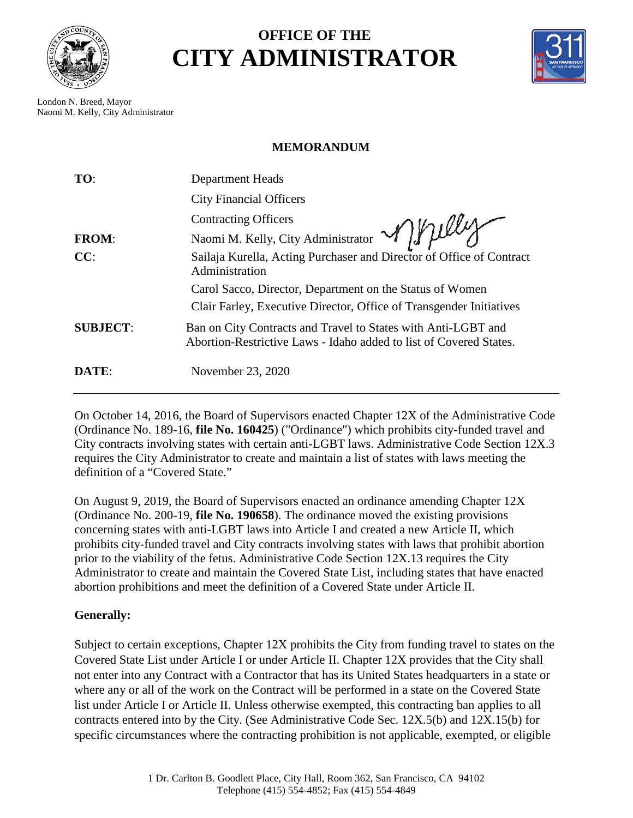

## **OFFICE OF THE CITY ADMINISTRATOR**



London N. Breed, Mayor Naomi M. Kelly, City Administrator

## **MEMORANDUM**

| TO:             | <b>Department Heads</b>                                                                                                             |
|-----------------|-------------------------------------------------------------------------------------------------------------------------------------|
|                 | <b>City Financial Officers</b>                                                                                                      |
|                 |                                                                                                                                     |
| <b>FROM:</b>    | Naomi M. Kelly, City Administrator Mylley                                                                                           |
| CC:             | Sailaja Kurella, Acting Purchaser and Director of Office of Contract<br>Administration                                              |
|                 | Carol Sacco, Director, Department on the Status of Women                                                                            |
|                 | Clair Farley, Executive Director, Office of Transgender Initiatives                                                                 |
| <b>SUBJECT:</b> | Ban on City Contracts and Travel to States with Anti-LGBT and<br>Abortion-Restrictive Laws - Idaho added to list of Covered States. |
| DATE:           | November 23, 2020                                                                                                                   |

On October 14, 2016, the Board of Supervisors enacted Chapter 12X of the Administrative Code (Ordinance No. 189-16, **[file No. 160425](http://sfgsa.org/sites/default/files/Document/AdminCodeChapter12X.PDF)**) ("Ordinance") which prohibits city-funded travel and City contracts involving states with certain anti-LGBT laws. Administrative Code Section 12X.3 requires the City Administrator to create and maintain a list of states with laws meeting the definition of a "Covered State."

On August 9, 2019, the Board of Supervisors enacted an ordinance amending Chapter 12X (Ordinance No. 200-19, **file No. 190658**). The ordinance moved the existing provisions concerning states with anti-LGBT laws into Article I and created a new Article II, which prohibits city-funded travel and City contracts involving states with laws that prohibit abortion prior to the viability of the fetus. Administrative Code Section 12X.13 requires the City Administrator to create and maintain the Covered State List, including states that have enacted abortion prohibitions and meet the definition of a Covered State under Article II.

## **Generally:**

Subject to certain exceptions, Chapter 12X prohibits the City from funding travel to states on the Covered State List under Article I or under Article II. Chapter 12X provides that the City shall not enter into any Contract with a Contractor that has its United States headquarters in a state or where any or all of the work on the Contract will be performed in a state on the Covered State list under Article I or Article II. Unless otherwise exempted, this contracting ban applies to all contracts entered into by the City. (See Administrative Code Sec. 12X.5(b) and 12X.15(b) for specific circumstances where the contracting prohibition is not applicable, exempted, or eligible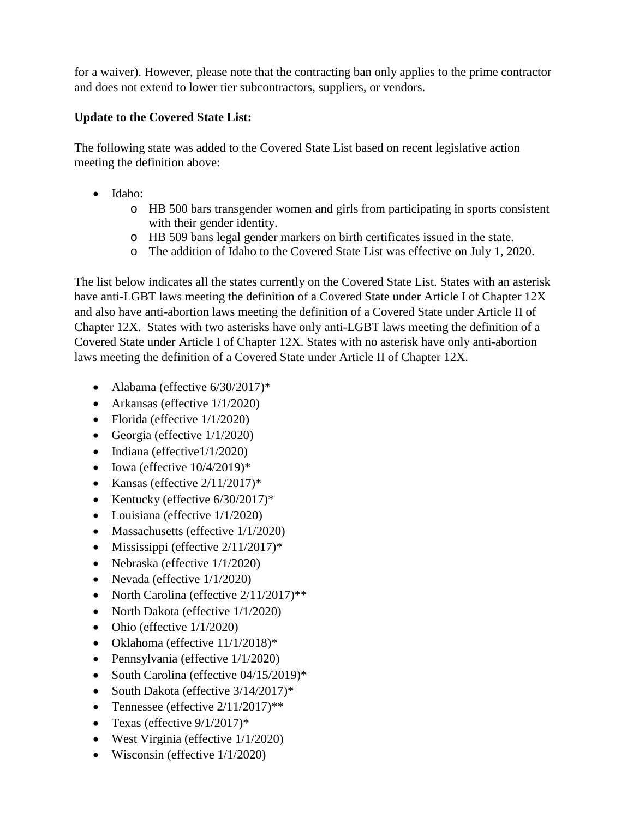for a waiver). However, please note that the contracting ban only applies to the prime contractor and does not extend to lower tier subcontractors, suppliers, or vendors.

## **Update to the Covered State List:**

The following state was added to the Covered State List based on recent legislative action meeting the definition above:

- Idaho:
	- o HB 500 bars transgender women and girls from participating in sports consistent with their gender identity.
	- o HB 509 bans legal gender markers on birth certificates issued in the state.
	- o The addition of Idaho to the Covered State List was effective on July 1, 2020.

The list below indicates all the states currently on the Covered State List. States with an asterisk have anti-LGBT laws meeting the definition of a Covered State under Article I of Chapter 12X and also have anti-abortion laws meeting the definition of a Covered State under Article II of Chapter 12X. States with two asterisks have only anti-LGBT laws meeting the definition of a Covered State under Article I of Chapter 12X. States with no asterisk have only anti-abortion laws meeting the definition of a Covered State under Article II of Chapter 12X.

- Alabama (effective  $6/30/2017$ )\*
- Arkansas (effective  $1/1/2020$ )
- Florida (effective  $1/1/2020$ )
- Georgia (effective  $1/1/2020$ )
- Indiana (effective1/1/2020)
- Iowa (effective  $10/4/2019$ )\*
- Kansas (effective  $2/11/2017$ )\*
- Kentucky (effective  $6/30/2017$ )\*
- Louisiana (effective  $1/1/2020$ )
- Massachusetts (effective  $1/1/2020$ )
- Mississippi (effective  $2/11/2017$ )\*
- Nebraska (effective  $1/1/2020$ )
- Nevada (effective  $1/1/2020$ )
- North Carolina (effective  $2/11/2017$ )\*\*
- North Dakota (effective  $1/1/2020$ )
- Ohio (effective  $1/1/2020$ )
- Oklahoma (effective 11/1/2018)\*
- Pennsylvania (effective  $1/1/2020$ )
- South Carolina (effective 04/15/2019)\*
- South Dakota (effective  $3/14/2017$ )\*
- Tennessee (effective  $2/11/2017$ )\*\*
- Texas (effective  $9/1/2017$ )\*
- West Virginia (effective  $1/1/2020$ )
- Wisconsin (effective  $1/1/2020$ )